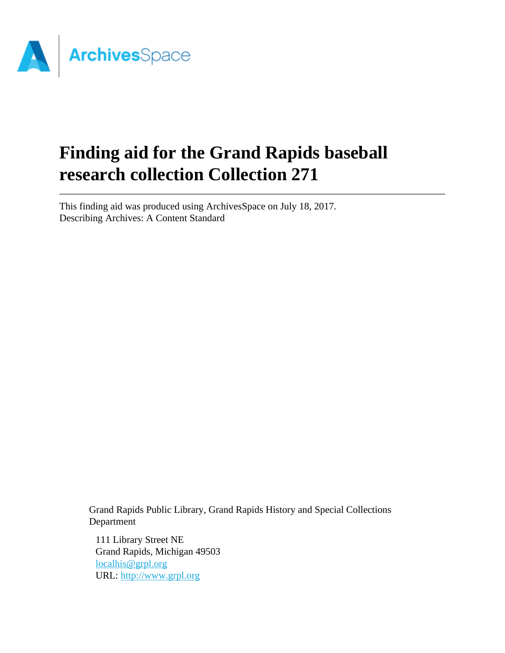

# **Finding aid for the Grand Rapids baseball research collection Collection 271**

This finding aid was produced using ArchivesSpace on July 18, 2017. Describing Archives: A Content Standard

> Grand Rapids Public Library, Grand Rapids History and Special Collections Department

111 Library Street NE Grand Rapids, Michigan 49503 [localhis@grpl.org](mailto:localhis@grpl.org) URL:<http://www.grpl.org>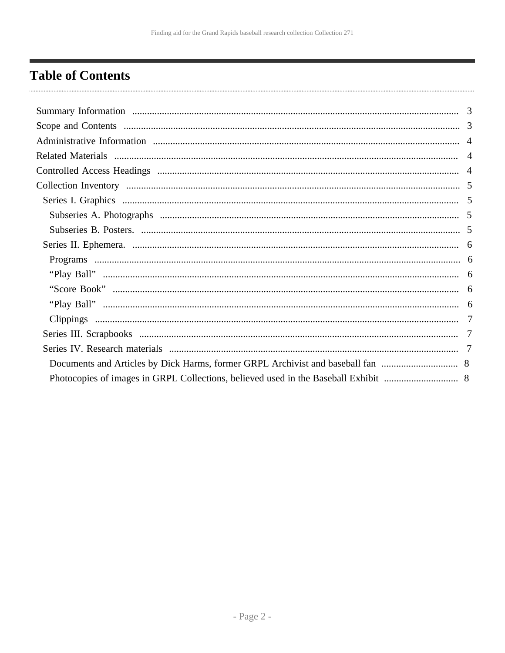# <span id="page-1-0"></span>**Table of Contents**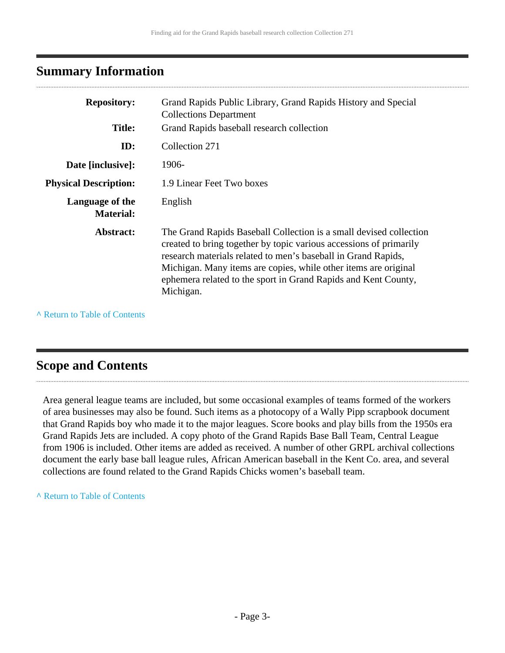# <span id="page-2-0"></span>**Summary Information**

| <b>Repository:</b><br><b>Title:</b> | Grand Rapids Public Library, Grand Rapids History and Special<br><b>Collections Department</b><br>Grand Rapids baseball research collection                                                                                                                                                                                                                 |  |
|-------------------------------------|-------------------------------------------------------------------------------------------------------------------------------------------------------------------------------------------------------------------------------------------------------------------------------------------------------------------------------------------------------------|--|
| ID:                                 | Collection 271                                                                                                                                                                                                                                                                                                                                              |  |
| Date [inclusive]:                   | 1906-                                                                                                                                                                                                                                                                                                                                                       |  |
| <b>Physical Description:</b>        | 1.9 Linear Feet Two boxes                                                                                                                                                                                                                                                                                                                                   |  |
| Language of the<br><b>Material:</b> | English                                                                                                                                                                                                                                                                                                                                                     |  |
| Abstract:                           | The Grand Rapids Baseball Collection is a small devised collection<br>created to bring together by topic various accessions of primarily<br>research materials related to men's baseball in Grand Rapids,<br>Michigan. Many items are copies, while other items are original<br>ephemera related to the sport in Grand Rapids and Kent County,<br>Michigan. |  |

**^** [Return to Table of Contents](#page-1-0)

# <span id="page-2-1"></span>**Scope and Contents**

Area general league teams are included, but some occasional examples of teams formed of the workers of area businesses may also be found. Such items as a photocopy of a Wally Pipp scrapbook document that Grand Rapids boy who made it to the major leagues. Score books and play bills from the 1950s era Grand Rapids Jets are included. A copy photo of the Grand Rapids Base Ball Team, Central League from 1906 is included. Other items are added as received. A number of other GRPL archival collections document the early base ball league rules, African American baseball in the Kent Co. area, and several collections are found related to the Grand Rapids Chicks women's baseball team.

#### **^** [Return to Table of Contents](#page-1-0)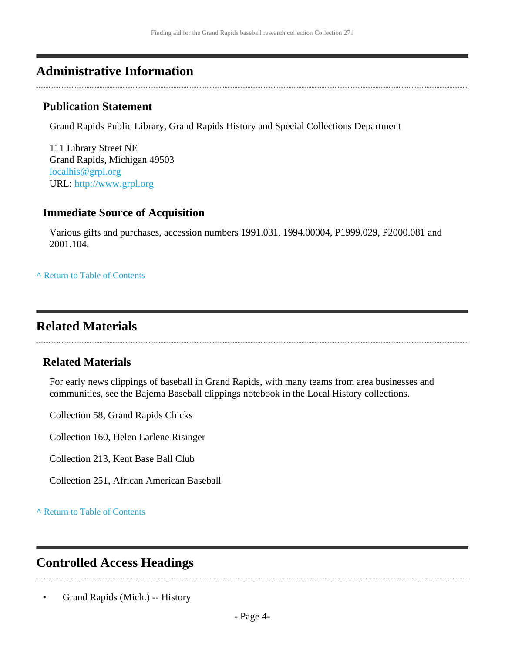# <span id="page-3-0"></span>**Administrative Information**

### **Publication Statement**

Grand Rapids Public Library, Grand Rapids History and Special Collections Department

111 Library Street NE Grand Rapids, Michigan 49503 [localhis@grpl.org](mailto:localhis@grpl.org) URL:<http://www.grpl.org>

### **Immediate Source of Acquisition**

Various gifts and purchases, accession numbers 1991.031, 1994.00004, P1999.029, P2000.081 and 2001.104.

**^** [Return to Table of Contents](#page-1-0)

# <span id="page-3-1"></span>**Related Materials**

### **Related Materials**

For early news clippings of baseball in Grand Rapids, with many teams from area businesses and communities, see the Bajema Baseball clippings notebook in the Local History collections.

Collection 58, Grand Rapids Chicks

Collection 160, Helen Earlene Risinger

Collection 213, Kent Base Ball Club

Collection 251, African American Baseball

**^** [Return to Table of Contents](#page-1-0)

# <span id="page-3-2"></span>**Controlled Access Headings**

• Grand Rapids (Mich.) -- History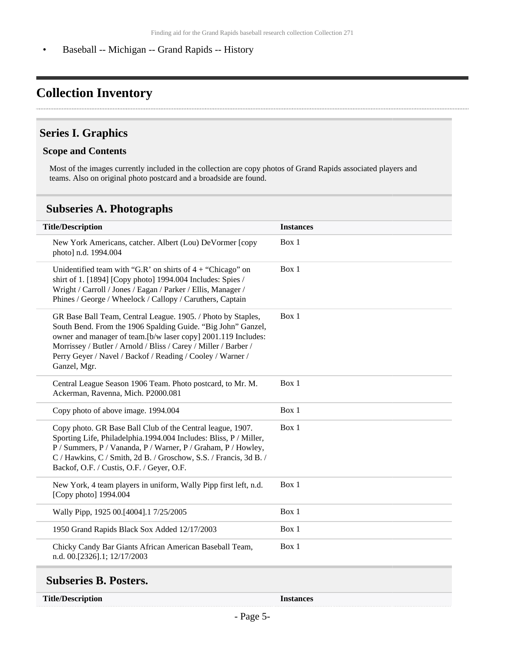• Baseball -- Michigan -- Grand Rapids -- History

# <span id="page-4-0"></span>**Collection Inventory**

# <span id="page-4-1"></span>**Series I. Graphics**

#### **Scope and Contents**

Most of the images currently included in the collection are copy photos of Grand Rapids associated players and teams. Also on original photo postcard and a broadside are found.

### <span id="page-4-2"></span>**Subseries A. Photographs**

| <b>Title/Description</b>                                                                                                                                                                                                                                                                                                                       | <b>Instances</b> |
|------------------------------------------------------------------------------------------------------------------------------------------------------------------------------------------------------------------------------------------------------------------------------------------------------------------------------------------------|------------------|
| New York Americans, catcher. Albert (Lou) DeVormer [copy<br>photo] n.d. 1994.004                                                                                                                                                                                                                                                               | Box 1            |
| Unidentified team with "G.R' on shirts of $4 +$ "Chicago" on<br>shirt of 1. [1894] [Copy photo] 1994.004 Includes: Spies /<br>Wright / Carroll / Jones / Eagan / Parker / Ellis, Manager /<br>Phines / George / Wheelock / Callopy / Caruthers, Captain                                                                                        | Box 1            |
| GR Base Ball Team, Central League. 1905. / Photo by Staples,<br>South Bend. From the 1906 Spalding Guide. "Big John" Ganzel,<br>owner and manager of team.[b/w laser copy] 2001.119 Includes:<br>Morrissey / Butler / Arnold / Bliss / Carey / Miller / Barber /<br>Perry Geyer / Navel / Backof / Reading / Cooley / Warner /<br>Ganzel, Mgr. | Box 1            |
| Central League Season 1906 Team. Photo postcard, to Mr. M.<br>Ackerman, Ravenna, Mich. P2000.081                                                                                                                                                                                                                                               | Box 1            |
| Copy photo of above image. 1994.004                                                                                                                                                                                                                                                                                                            | Box 1            |
| Copy photo. GR Base Ball Club of the Central league, 1907.<br>Sporting Life, Philadelphia.1994.004 Includes: Bliss, P / Miller,<br>P / Summers, P / Vananda, P / Warner, P / Graham, P / Howley,<br>C / Hawkins, C / Smith, 2d B. / Groschow, S.S. / Francis, 3d B. /<br>Backof, O.F. / Custis, O.F. / Geyer, O.F.                             | Box 1            |
| New York, 4 team players in uniform, Wally Pipp first left, n.d.<br>[Copy photo] 1994.004                                                                                                                                                                                                                                                      | Box 1            |
| Wally Pipp, 1925 00.[4004].1 7/25/2005                                                                                                                                                                                                                                                                                                         | Box 1            |
| 1950 Grand Rapids Black Sox Added 12/17/2003                                                                                                                                                                                                                                                                                                   | Box 1            |
| Chicky Candy Bar Giants African American Baseball Team,<br>n.d. 00.[2326].1; 12/17/2003                                                                                                                                                                                                                                                        | Box 1            |
| $\begin{array}{ccc} \mathbf{1} & \mathbf{1} & \mathbf{1} & \mathbf{1} \end{array}$                                                                                                                                                                                                                                                             |                  |

#### <span id="page-4-3"></span>**Subseries B. Posters.**

**Title/Description Instances**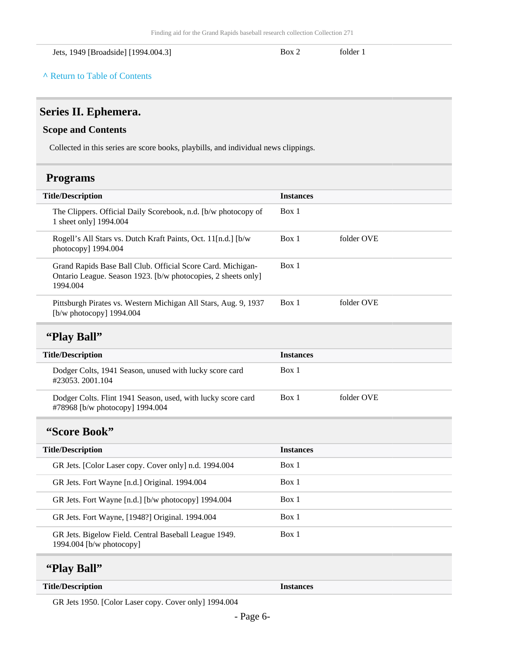Jets, 1949 [Broadside] [1994.004.3] Box 2 folder 1

#### **^** [Return to Table of Contents](#page-1-0)

# <span id="page-5-0"></span>**Series II. Ephemera.**

#### **Scope and Contents**

Collected in this series are score books, playbills, and individual news clippings.

### <span id="page-5-1"></span>**Programs**

<span id="page-5-2"></span>

| <b>Title/Description</b>                                                                                                                 | <b>Instances</b> |            |
|------------------------------------------------------------------------------------------------------------------------------------------|------------------|------------|
| The Clippers. Official Daily Scorebook, n.d. [b/w photocopy of<br>1 sheet only] 1994.004                                                 | Box 1            |            |
| Rogell's All Stars vs. Dutch Kraft Paints, Oct. 11[n.d.] [b/w<br>photocopy] 1994.004                                                     | Box 1            | folder OVE |
| Grand Rapids Base Ball Club. Official Score Card. Michigan-<br>Ontario League. Season 1923. [b/w photocopies, 2 sheets only]<br>1994.004 | Box 1            |            |
| Pittsburgh Pirates vs. Western Michigan All Stars, Aug. 9, 1937<br>[ $b/w$ photocopy] 1994.004                                           | Box 1            | folder OVE |
| "Play Ball"                                                                                                                              |                  |            |
| <b>Title/Description</b>                                                                                                                 | <b>Instances</b> |            |
| Dodger Colts, 1941 Season, unused with lucky score card<br>#23053.2001.104                                                               | Box 1            |            |
| Dodger Colts. Flint 1941 Season, used, with lucky score card<br>#78968 [b/w photocopy] 1994.004                                          | Box 1            | folder OVE |
| "Score Book"                                                                                                                             |                  |            |
| <b>Title/Description</b>                                                                                                                 | <b>Instances</b> |            |
| GR Jets. [Color Laser copy. Cover only] n.d. 1994.004                                                                                    | Box 1            |            |
| GR Jets. Fort Wayne [n.d.] Original. 1994.004                                                                                            | Box 1            |            |
| GR Jets. Fort Wayne [n.d.] [b/w photocopy] 1994.004                                                                                      | Box 1            |            |
| GR Jets. Fort Wayne, [1948?] Original. 1994.004                                                                                          | Box 1            |            |
| GR Jets. Bigelow Field. Central Baseball League 1949.<br>1994.004 [b/w photocopy]                                                        | Box 1            |            |
| "Play Ball"                                                                                                                              |                  |            |
| <b>Title/Description</b>                                                                                                                 | <b>Instances</b> |            |

<span id="page-5-4"></span><span id="page-5-3"></span>GR Jets 1950. [Color Laser copy. Cover only] 1994.004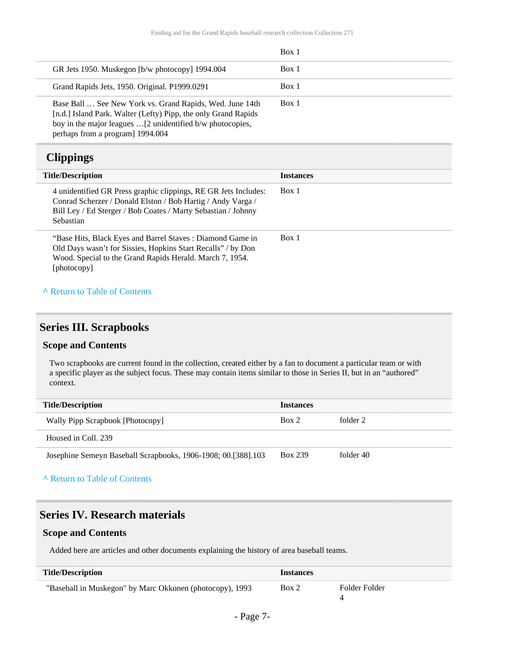|                                                                                                                                                                                                                             | Box 1 |
|-----------------------------------------------------------------------------------------------------------------------------------------------------------------------------------------------------------------------------|-------|
| GR Jets 1950. Muskegon [b/w photocopy] 1994.004                                                                                                                                                                             | Box 1 |
| Grand Rapids Jets, 1950. Original. P1999.0291                                                                                                                                                                               | Box 1 |
| Base Ball  See New York vs. Grand Rapids, Wed. June 14th<br>[n.d.] Island Park. Walter (Lefty) Pipp, the only Grand Rapids<br>boy in the major leagues [2 unidentified b/w photocopies,<br>perhaps from a program] 1994.004 | Box 1 |

### <span id="page-6-0"></span>**Clippings**

| <b>Title/Description</b>                                                                                                                                                                                     | <b>Instances</b> |
|--------------------------------------------------------------------------------------------------------------------------------------------------------------------------------------------------------------|------------------|
| 4 unidentified GR Press graphic clippings, RE GR Jets Includes:<br>Conrad Scherzer / Donald Elston / Bob Hartig / Andy Varga /<br>Bill Ley / Ed Sterger / Bob Coates / Marty Sebastian / Johnny<br>Sebastian | Box 1            |
| "Base Hits, Black Eyes and Barrel Staves: Diamond Game in<br>Old Days wasn't for Sissies, Hopkins Start Recalls" / by Don<br>Wood. Special to the Grand Rapids Herald. March 7, 1954.<br>[photocopy]         | Box 1            |

#### **^** [Return to Table of Contents](#page-1-0)

#### <span id="page-6-1"></span>**Series III. Scrapbooks**

#### **Scope and Contents**

Two scrapbooks are current found in the collection, created either by a fan to document a particular team or with a specific player as the subject focus. These may contain items similar to those in Series II, but in an "authored" context.

| <b>Title/Description</b>                                      | <b>Instances</b> |           |
|---------------------------------------------------------------|------------------|-----------|
| Wally Pipp Scrapbook [Photocopy]                              | Box 2            | folder 2  |
| Housed in Coll. 239                                           |                  |           |
| Josephine Semeyn Baseball Scrapbooks, 1906-1908; 00.[388].103 | Box 239          | folder 40 |

#### **^** [Return to Table of Contents](#page-1-0)

### <span id="page-6-2"></span>**Series IV. Research materials**

#### **Scope and Contents**

Added here are articles and other documents explaining the history of area baseball teams.

| <b>Title/Description</b>                                 | <i>Instances</i> |               |
|----------------------------------------------------------|------------------|---------------|
| "Baseball in Muskegon" by Marc Okkonen (photocopy), 1993 | Box 2            | Folder Folder |